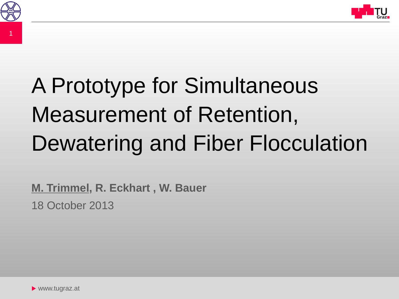



# A Prototype for Simultaneous Measurement of Retention, Dewatering and Fiber Flocculation

18 October 2013 **M. Trimmel, R. Eckhart , W. Bauer**

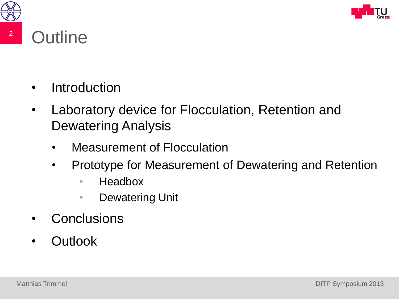



#### <sup>2</sup> Outline

- Introduction
- Laboratory device for Flocculation, Retention and Dewatering Analysis
	- Measurement of Flocculation
	- Prototype for Measurement of Dewatering and Retention
		- Headbox
		- **Dewatering Unit**
- Conclusions
- Outlook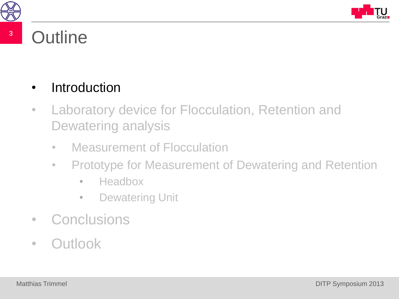



#### <sup>3</sup> Outline

#### **Introduction**

- Laboratory device for Flocculation, Retention and Dewatering analysis
	- Measurement of Flocculation
	- Prototype for Measurement of Dewatering and Retention
		- Headbox
		- Dewatering Unit
- Conclusions
- Outlook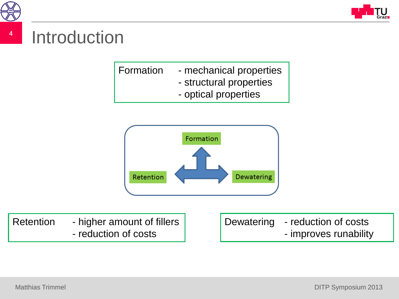

4



| Formation | - mechanical properties |
|-----------|-------------------------|
|           | - structural properties |
|           | option proportion       |





Retention - higher amount of fillers - reduction of costs

Dewatering - reduction of costs - improves runability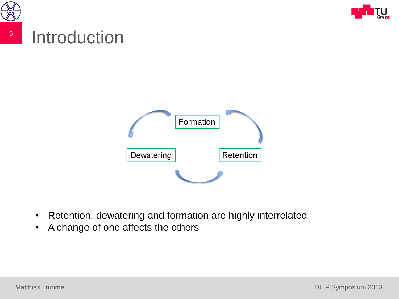



#### 5 Introduction



- Retention, dewatering and formation are highly interrelated
- A change of one affects the others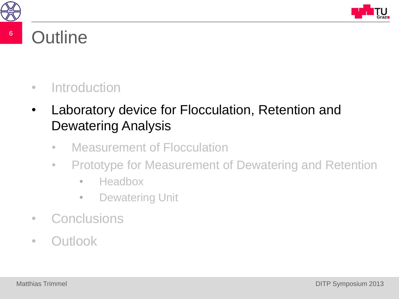



#### <sup>6</sup> Outline

#### • Introduction

- Laboratory device for Flocculation, Retention and Dewatering Analysis
	- Measurement of Flocculation
	- Prototype for Measurement of Dewatering and Retention
		- Headbox
		- Dewatering Unit
- Conclusions
- Outlook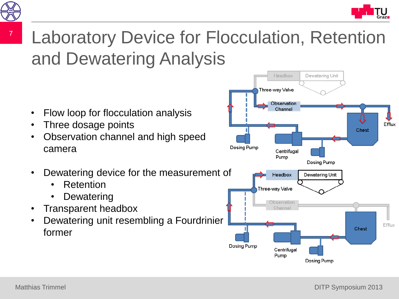

#### 7 Laboratory Device for Flocculation, Retention and Dewatering Analysis

- Flow loop for flocculation analysis
- Three dosage points
- Observation channel and high speed camera
- Dewatering device for the measurement of
	- **Retention**
	- **Dewatering**
- Transparent headbox
- Dewatering unit resembling a Fourdrinier former

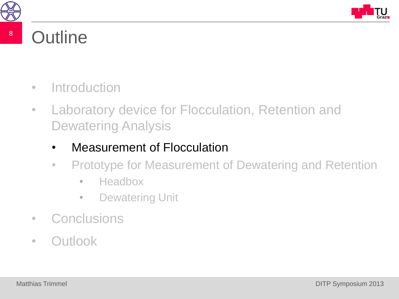



#### <sup>8</sup> Outline

- Introduction
- Laboratory device for Flocculation, Retention and Dewatering Analysis
	- Measurement of Flocculation
	- Prototype for Measurement of Dewatering and Retention
		- Headbox
		- Dewatering Unit
- Conclusions
- Outlook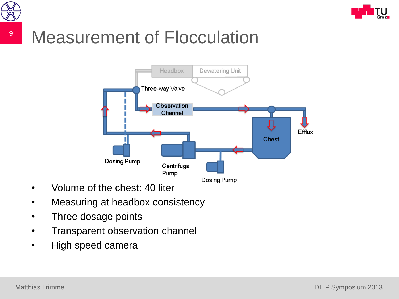



### <sup>9</sup> Measurement of Flocculation



- Volume of the chest: 40 liter
- Measuring at headbox consistency
- Three dosage points
- Transparent observation channel
- High speed camera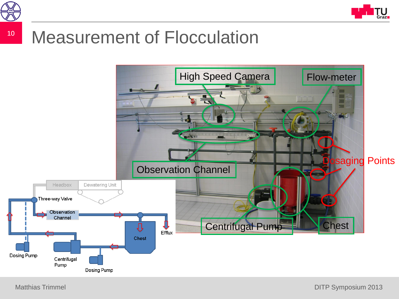



#### <sup>10</sup> Measurement of Flocculation



Matthias Trimmel **Matthias Trimmel Matthias Trimmel** 2013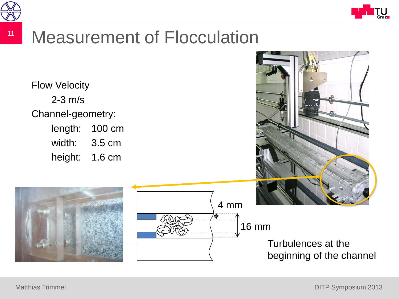



Flow Velocity 2-3 m/s Channel-geometry: length: 100 cm width: 3.5 cm height: 1.6 cm



## 4 mm '₩ 16 mm

Turbulences at the beginning of the channel

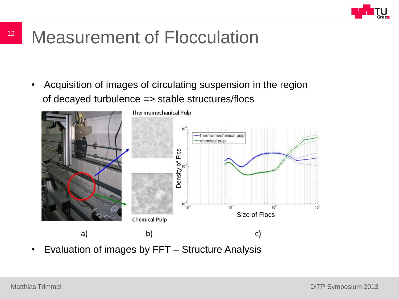

#### <sup>12</sup> Measurement of Flocculation

• Acquisition of images of circulating suspension in the region of decayed turbulence => stable structures/flocs



• Evaluation of images by FFT – Structure Analysis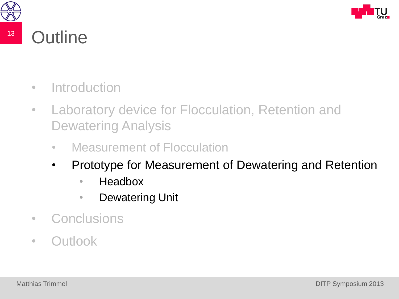



#### <sup>13</sup> Outline

- Introduction
- Laboratory device for Flocculation, Retention and Dewatering Analysis
	- Measurement of Flocculation
	- Prototype for Measurement of Dewatering and Retention
		- Headbox
		- Dewatering Unit
- Conclusions
- Outlook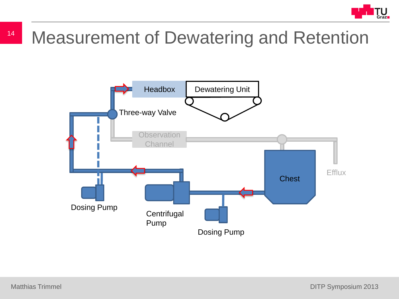

### <sup>14</sup> Measurement of Dewatering and Retention

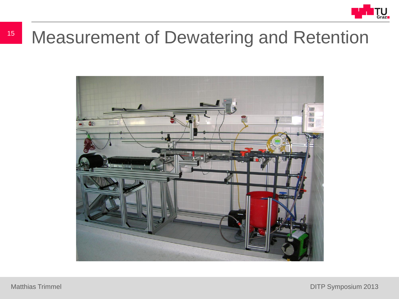

#### <sup>15</sup> Measurement of Dewatering and Retention

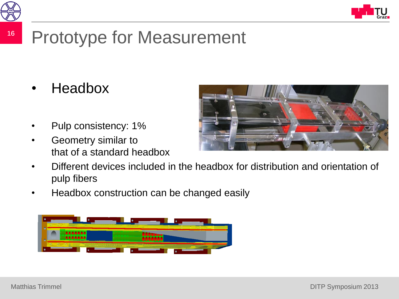



### <sup>16</sup> Prototype for Measurement

- Headbox
- Pulp consistency: 1%
- Geometry similar to that of a standard headbox



- Different devices included in the headbox for distribution and orientation of pulp fibers
- Headbox construction can be changed easily

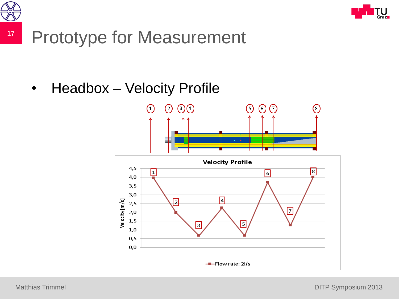



#### <sup>17</sup> Prototype for Measurement

• Headbox – Velocity Profile

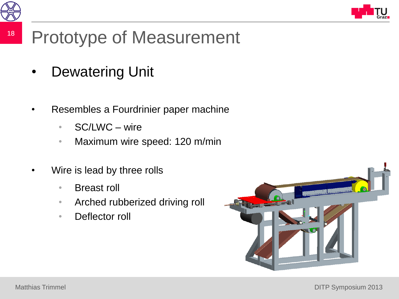



#### <sup>18</sup> Prototype of Measurement

- Dewatering Unit
- Resembles a Fourdrinier paper machine
	- SC/LWC wire
	- Maximum wire speed: 120 m/min
- Wire is lead by three rolls
	- Breast roll
	- Arched rubberized driving roll
	- Deflector roll

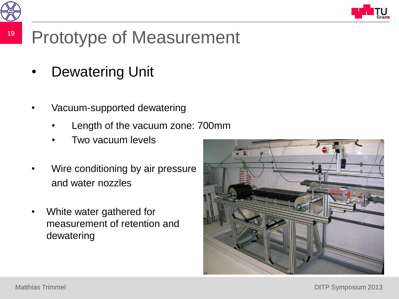



#### <sup>19</sup> Prototype of Measurement

- Dewatering Unit
- Vacuum-supported dewatering
	- Length of the vacuum zone: 700mm
	- Two vacuum levels
- Wire conditioning by air pressure and water nozzles
- White water gathered for measurement of retention and dewatering

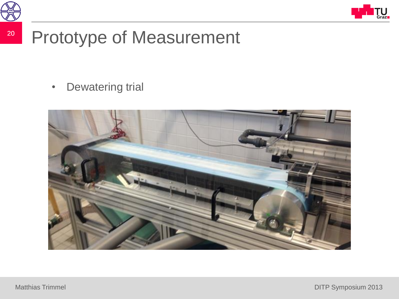



#### <sup>20</sup> Prototype of Measurement

• Dewatering trial

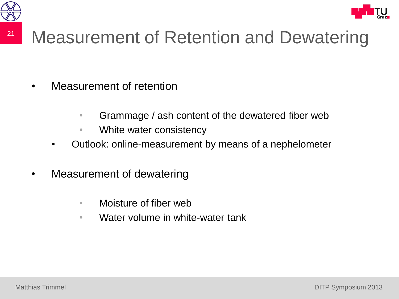

## <sup>21</sup> Measurement of Retention and Dewatering

- Measurement of retention
	- Grammage / ash content of the dewatered fiber web
	- White water consistency
	- Outlook: online-measurement by means of a nephelometer
- Measurement of dewatering
	- Moisture of fiber web
	- Water volume in white-water tank

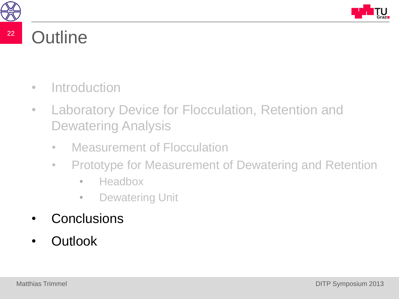



#### <sup>22</sup> Outline

- Introduction
- Laboratory Device for Flocculation, Retention and Dewatering Analysis
	- Measurement of Flocculation
	- Prototype for Measurement of Dewatering and Retention
		- Headbox
		- Dewatering Unit
- **Conclusions**
- Outlook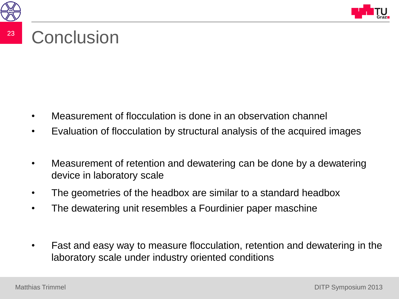



#### <sup>23</sup> Conclusion

- Measurement of flocculation is done in an observation channel
- Evaluation of flocculation by structural analysis of the acquired images
- Measurement of retention and dewatering can be done by a dewatering device in laboratory scale
- The geometries of the headbox are similar to a standard headbox
- The dewatering unit resembles a Fourdinier paper maschine
- Fast and easy way to measure flocculation, retention and dewatering in the laboratory scale under industry oriented conditions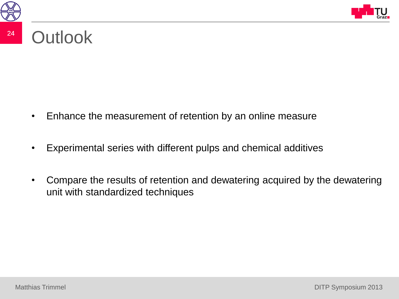



#### <sup>24</sup> Outlook

- Enhance the measurement of retention by an online measure
- Experimental series with different pulps and chemical additives
- Compare the results of retention and dewatering acquired by the dewatering unit with standardized techniques